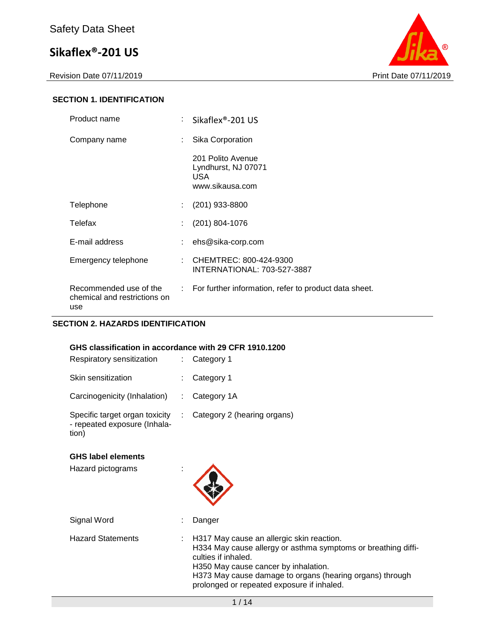Revision Date 07/11/2019 **Print Date 07/11/2019** 



#### **SECTION 1. IDENTIFICATION**

| Product name                                                  | Sikaflex <sup>®</sup> -201 US                                       |
|---------------------------------------------------------------|---------------------------------------------------------------------|
| Company name                                                  | Sika Corporation                                                    |
|                                                               | 201 Polito Avenue<br>Lyndhurst, NJ 07071<br>USA.<br>www.sikausa.com |
| Telephone                                                     | $(201)$ 933-8800                                                    |
| Telefax                                                       | $(201)$ 804-1076                                                    |
| E-mail address                                                | ehs@sika-corp.com                                                   |
| Emergency telephone                                           | : CHEMTREC: 800-424-9300<br>INTERNATIONAL: 703-527-3887             |
| Recommended use of the<br>chemical and restrictions on<br>use | : For further information, refer to product data sheet.             |

#### **SECTION 2. HAZARDS IDENTIFICATION**

#### **GHS classification in accordance with 29 CFR 1910.1200**

| Respiratory sensitization                                               | $:$ Category 1                |
|-------------------------------------------------------------------------|-------------------------------|
| Skin sensitization                                                      | $:$ Category 1                |
| Carcinogenicity (Inhalation)                                            | $:$ Category 1A               |
| Specific target organ toxicity<br>- repeated exposure (Inhala-<br>tion) | : Category 2 (hearing organs) |

#### **GHS label elements**

Hazard pictograms :



Signal Word : Danger Hazard Statements : H317 May cause an allergic skin reaction. H334 May cause allergy or asthma symptoms or breathing difficulties if inhaled. H350 May cause cancer by inhalation. H373 May cause damage to organs (hearing organs) through prolonged or repeated exposure if inhaled.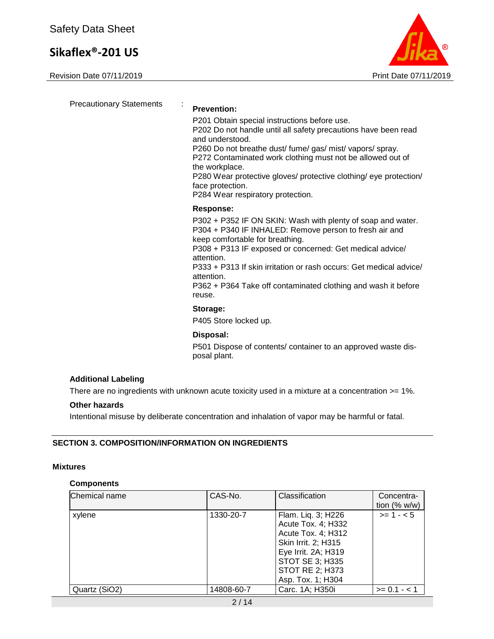Revision Date 07/11/2019 **Print Date 07/11/2019** 



Precautionary Statements : **Prevention:**  P201 Obtain special instructions before use. P202 Do not handle until all safety precautions have been read and understood. P260 Do not breathe dust/ fume/ gas/ mist/ vapors/ spray. P272 Contaminated work clothing must not be allowed out of the workplace. P280 Wear protective gloves/ protective clothing/ eye protection/ face protection. P284 Wear respiratory protection. **Response:**  P302 + P352 IF ON SKIN: Wash with plenty of soap and water. P304 + P340 IF INHALED: Remove person to fresh air and keep comfortable for breathing. P308 + P313 IF exposed or concerned: Get medical advice/ attention. P333 + P313 If skin irritation or rash occurs: Get medical advice/ attention. P362 + P364 Take off contaminated clothing and wash it before reuse. **Storage:**  P405 Store locked up. **Disposal:**  P501 Dispose of contents/ container to an approved waste disposal plant.

#### **Additional Labeling**

There are no ingredients with unknown acute toxicity used in a mixture at a concentration  $>= 1\%$ .

#### **Other hazards**

Intentional misuse by deliberate concentration and inhalation of vapor may be harmful or fatal.

#### **SECTION 3. COMPOSITION/INFORMATION ON INGREDIENTS**

#### **Mixtures**

#### **Components**

| Chemical name | CAS-No.    | Classification                                                                                                                                                                 | Concentra-<br>tion $(% w/w)$ |
|---------------|------------|--------------------------------------------------------------------------------------------------------------------------------------------------------------------------------|------------------------------|
| xylene        | 1330-20-7  | Flam. Liq. 3; H226<br>Acute Tox. 4; H332<br>Acute Tox. 4; H312<br>Skin Irrit. 2; H315<br>Eye Irrit. 2A; H319<br>STOT SE 3; H335<br><b>STOT RE 2; H373</b><br>Asp. Tox. 1; H304 | $>= 1 - 5$                   |
| Quartz (SiO2) | 14808-60-7 | Carc. 1A; H350i                                                                                                                                                                | $>= 0.1 - 1.1$               |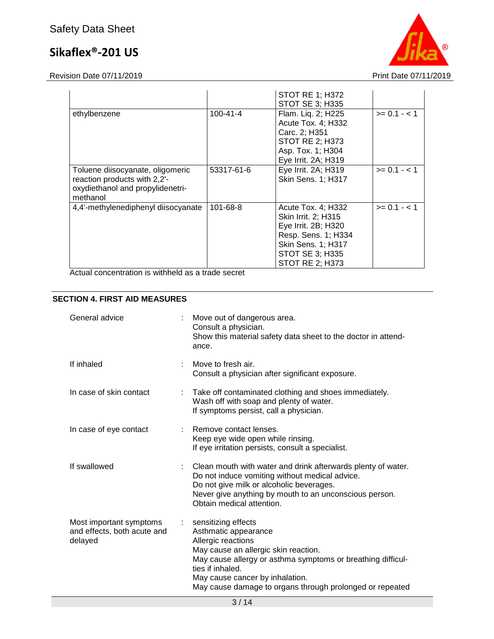Revision Date 07/11/2019 **Print Date 07/11/2019** 



|                                                                                                                  |            | <b>STOT RE 1; H372</b><br>STOT SE 3; H335                                                                                                                         |                |
|------------------------------------------------------------------------------------------------------------------|------------|-------------------------------------------------------------------------------------------------------------------------------------------------------------------|----------------|
| ethylbenzene                                                                                                     | 100-41-4   | Flam. Liq. 2; H225<br>Acute Tox. 4; H332<br>Carc. 2; H351<br><b>STOT RE 2; H373</b><br>Asp. Tox. 1; H304<br>Eye Irrit. 2A; H319                                   | $>= 0.1 - 1$   |
| Toluene diisocyanate, oligomeric<br>reaction products with 2,2'-<br>oxydiethanol and propylidenetri-<br>methanol | 53317-61-6 | Eye Irrit. 2A; H319<br><b>Skin Sens. 1; H317</b>                                                                                                                  | $>= 0.1 - 1.1$ |
| 4,4'-methylenediphenyl diisocyanate                                                                              | 101-68-8   | Acute Tox. 4: H332<br>Skin Irrit. 2; H315<br>Eye Irrit. 2B; H320<br>Resp. Sens. 1; H334<br>Skin Sens. 1; H317<br><b>STOT SE 3; H335</b><br><b>STOT RE 2: H373</b> | $>= 0.1 - 1.1$ |

Actual concentration is withheld as a trade secret

#### **SECTION 4. FIRST AID MEASURES**

| General advice                                                    |    | Move out of dangerous area.<br>Consult a physician.<br>Show this material safety data sheet to the doctor in attend-<br>ance.                                                                                                                                                               |
|-------------------------------------------------------------------|----|---------------------------------------------------------------------------------------------------------------------------------------------------------------------------------------------------------------------------------------------------------------------------------------------|
| If inhaled                                                        |    | Move to fresh air.<br>Consult a physician after significant exposure.                                                                                                                                                                                                                       |
| In case of skin contact                                           |    | Take off contaminated clothing and shoes immediately.<br>Wash off with soap and plenty of water.<br>If symptoms persist, call a physician.                                                                                                                                                  |
| In case of eye contact                                            |    | Remove contact lenses.<br>Keep eye wide open while rinsing.<br>If eye irritation persists, consult a specialist.                                                                                                                                                                            |
| If swallowed                                                      |    | Clean mouth with water and drink afterwards plenty of water.<br>Do not induce vomiting without medical advice.<br>Do not give milk or alcoholic beverages.<br>Never give anything by mouth to an unconscious person.<br>Obtain medical attention.                                           |
| Most important symptoms<br>and effects, both acute and<br>delayed | t. | sensitizing effects<br>Asthmatic appearance<br>Allergic reactions<br>May cause an allergic skin reaction.<br>May cause allergy or asthma symptoms or breathing difficul-<br>ties if inhaled.<br>May cause cancer by inhalation.<br>May cause damage to organs through prolonged or repeated |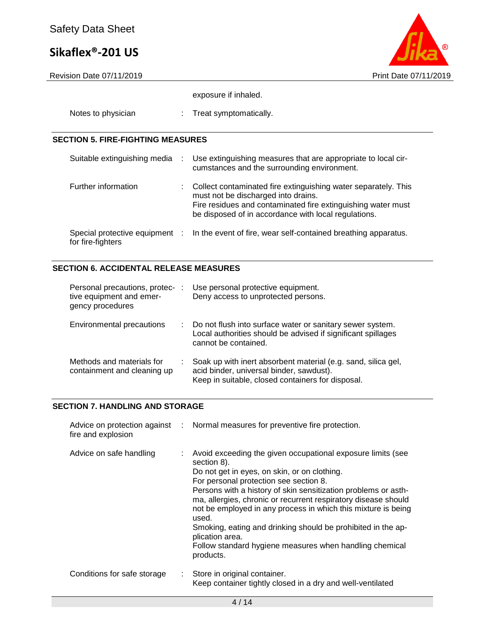

exposure if inhaled.

| Notes to physician |  | Treat symptomatically. |
|--------------------|--|------------------------|
|--------------------|--|------------------------|

#### **SECTION 5. FIRE-FIGHTING MEASURES**

| Suitable extinguishing media                        | $\mathcal{L}$ | Use extinguishing measures that are appropriate to local cir-<br>cumstances and the surrounding environment.                                                                                                                  |
|-----------------------------------------------------|---------------|-------------------------------------------------------------------------------------------------------------------------------------------------------------------------------------------------------------------------------|
| Further information                                 | t.            | Collect contaminated fire extinguishing water separately. This<br>must not be discharged into drains.<br>Fire residues and contaminated fire extinguishing water must<br>be disposed of in accordance with local regulations. |
| Special protective equipment :<br>for fire-fighters |               | In the event of fire, wear self-contained breathing apparatus.                                                                                                                                                                |

### **SECTION 6. ACCIDENTAL RELEASE MEASURES**

| Personal precautions, protec-<br>tive equipment and emer-<br>gency procedures | Use personal protective equipment.<br>Deny access to unprotected persons.                                                                                      |
|-------------------------------------------------------------------------------|----------------------------------------------------------------------------------------------------------------------------------------------------------------|
| Environmental precautions                                                     | Do not flush into surface water or sanitary sewer system.<br>Local authorities should be advised if significant spillages<br>cannot be contained.              |
| Methods and materials for<br>containment and cleaning up                      | Soak up with inert absorbent material (e.g. sand, silica gel,<br>acid binder, universal binder, sawdust).<br>Keep in suitable, closed containers for disposal. |

#### **SECTION 7. HANDLING AND STORAGE**

| fire and explosion          |    | Advice on protection against : Normal measures for preventive fire protection.                                                                                                                                                                                                                                                                                                                                                                                                                                                                |
|-----------------------------|----|-----------------------------------------------------------------------------------------------------------------------------------------------------------------------------------------------------------------------------------------------------------------------------------------------------------------------------------------------------------------------------------------------------------------------------------------------------------------------------------------------------------------------------------------------|
| Advice on safe handling     |    | Avoid exceeding the given occupational exposure limits (see<br>section 8).<br>Do not get in eyes, on skin, or on clothing.<br>For personal protection see section 8.<br>Persons with a history of skin sensitization problems or asth-<br>ma, allergies, chronic or recurrent respiratory disease should<br>not be employed in any process in which this mixture is being<br>used.<br>Smoking, eating and drinking should be prohibited in the ap-<br>plication area.<br>Follow standard hygiene measures when handling chemical<br>products. |
| Conditions for safe storage | ÷. | Store in original container.<br>Keep container tightly closed in a dry and well-ventilated                                                                                                                                                                                                                                                                                                                                                                                                                                                    |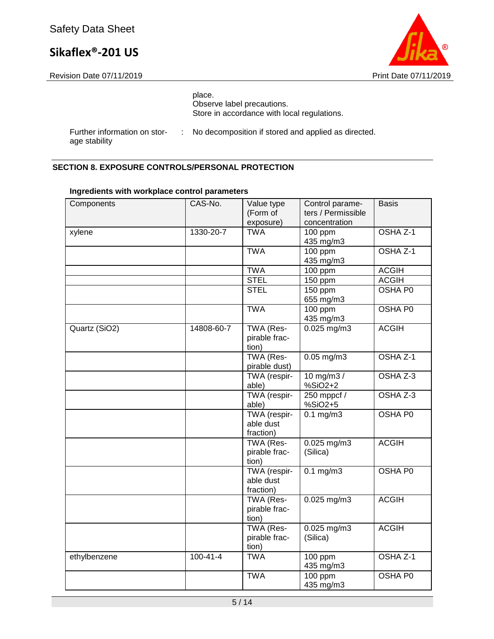age stability



|                              |  | place.<br>Observe label precautions.<br>Store in accordance with local regulations. |
|------------------------------|--|-------------------------------------------------------------------------------------|
| Further information on stor- |  | : No decomposition if stored and applied as directed.                               |

**SECTION 8. EXPOSURE CONTROLS/PERSONAL PROTECTION**

| Components    | CAS-No.        | Value type<br>(Form of<br>exposure)    | Control parame-<br>ters / Permissible<br>concentration | <b>Basis</b>   |
|---------------|----------------|----------------------------------------|--------------------------------------------------------|----------------|
| xylene        | 1330-20-7      | <b>TWA</b>                             | 100 ppm<br>435 mg/m3                                   | OSHA Z-1       |
|               |                | <b>TWA</b>                             | 100 ppm<br>435 mg/m3                                   | OSHA Z-1       |
|               |                | <b>TWA</b>                             | $100$ ppm                                              | <b>ACGIH</b>   |
|               |                | <b>STEL</b>                            | 150 ppm                                                | <b>ACGIH</b>   |
|               |                | <b>STEL</b>                            | 150 ppm<br>655 mg/m3                                   | <b>OSHA P0</b> |
|               |                | <b>TWA</b>                             | 100 ppm<br>435 mg/m3                                   | <b>OSHA P0</b> |
| Quartz (SiO2) | 14808-60-7     | TWA (Res-<br>pirable frac-<br>tion)    | 0.025 mg/m3                                            | <b>ACGIH</b>   |
|               |                | TWA (Res-<br>pirable dust)             | $0.05$ mg/m3                                           | OSHA Z-1       |
|               |                | TWA (respir-<br>able)                  | $10$ mg/m3 /<br>%SiO2+2                                | OSHA Z-3       |
|               |                | TWA (respir-<br>able)                  | 250 mppcf $/$<br>%SiO2+5                               | OSHA Z-3       |
|               |                | TWA (respir-<br>able dust<br>fraction) | $0.1$ mg/m $3$                                         | OSHA P0        |
|               |                | TWA (Res-<br>pirable frac-<br>tion)    | $0.025$ mg/m3<br>(Silica)                              | <b>ACGIH</b>   |
|               |                | TWA (respir-<br>able dust<br>fraction) | $0.1$ mg/m $3$                                         | OSHA P0        |
|               |                | TWA (Res-<br>pirable frac-<br>tion)    | $0.025$ mg/m3                                          | <b>ACGIH</b>   |
|               |                | TWA (Res-<br>pirable frac-<br>tion)    | $0.025$ mg/m3<br>(Silica)                              | <b>ACGIH</b>   |
| ethylbenzene  | $100 - 41 - 4$ | <b>TWA</b>                             | 100 ppm<br>435 mg/m3                                   | OSHA Z-1       |
|               |                | <b>TWA</b>                             | $100$ ppm<br>435 mg/m3                                 | OSHA P0        |

#### **Ingredients with workplace control parameters**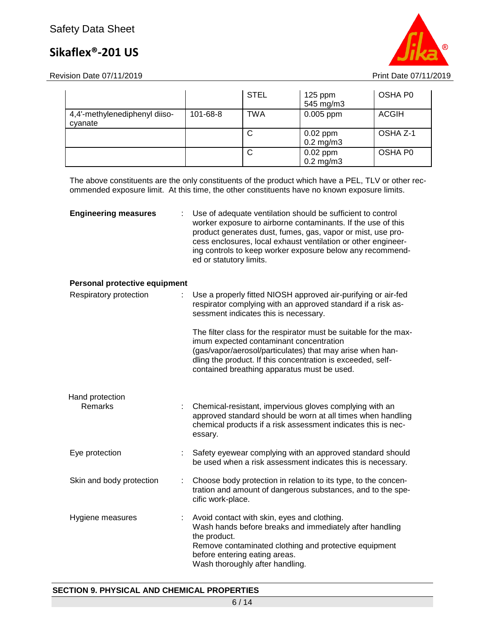Revision Date 07/11/2019 **Print Date 07/11/2019** Print Date 07/11/2019



|                                          |          | <b>STEL</b> | $125$ ppm<br>545 mg/m3       | OSHA P0      |
|------------------------------------------|----------|-------------|------------------------------|--------------|
| 4,4'-methylenediphenyl diiso-<br>cyanate | 101-68-8 | <b>TWA</b>  | $0.005$ ppm                  | <b>ACGIH</b> |
|                                          |          | C           | $0.02$ ppm<br>$0.2$ mg/m $3$ | OSHA Z-1     |
|                                          |          | C           | $0.02$ ppm<br>$0.2$ mg/m $3$ | OSHA P0      |

The above constituents are the only constituents of the product which have a PEL, TLV or other recommended exposure limit. At this time, the other constituents have no known exposure limits.

| <b>Engineering measures</b>   | Use of adequate ventilation should be sufficient to control<br>worker exposure to airborne contaminants. If the use of this<br>product generates dust, fumes, gas, vapor or mist, use pro-<br>cess enclosures, local exhaust ventilation or other engineer-<br>ing controls to keep worker exposure below any recommend-<br>ed or statutory limits. |
|-------------------------------|-----------------------------------------------------------------------------------------------------------------------------------------------------------------------------------------------------------------------------------------------------------------------------------------------------------------------------------------------------|
| Personal protective equipment |                                                                                                                                                                                                                                                                                                                                                     |
| Respiratory protection        | Use a properly fitted NIOSH approved air-purifying or air-fed<br>respirator complying with an approved standard if a risk as-<br>sessment indicates this is necessary.                                                                                                                                                                              |
|                               | The filter class for the respirator must be suitable for the max-<br>imum expected contaminant concentration<br>(gas/vapor/aerosol/particulates) that may arise when han-<br>dling the product. If this concentration is exceeded, self-<br>contained breathing apparatus must be used.                                                             |
| Hand protection<br>Remarks    | Chemical-resistant, impervious gloves complying with an<br>approved standard should be worn at all times when handling<br>chemical products if a risk assessment indicates this is nec-<br>essary.                                                                                                                                                  |

- Eye protection : Safety eyewear complying with an approved standard should be used when a risk assessment indicates this is necessary.
- Skin and body protection : Choose body protection in relation to its type, to the concentration and amount of dangerous substances, and to the specific work-place.
- Hygiene measures : Avoid contact with skin, eyes and clothing. Wash hands before breaks and immediately after handling the product. Remove contaminated clothing and protective equipment before entering eating areas. Wash thoroughly after handling.

#### **SECTION 9. PHYSICAL AND CHEMICAL PROPERTIES**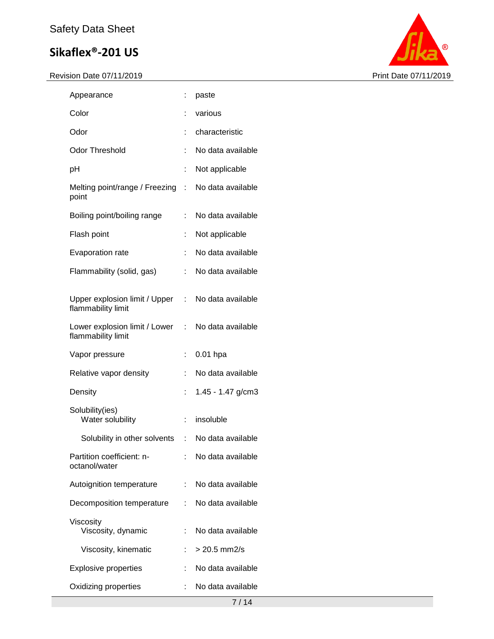

| Appearance                                            |                           | paste             |
|-------------------------------------------------------|---------------------------|-------------------|
| Color                                                 |                           | various           |
| Odor                                                  |                           | characteristic    |
| Odor Threshold                                        |                           | No data available |
| pH                                                    | Ì.                        | Not applicable    |
| Melting point/range / Freezing<br>point               | t.                        | No data available |
| Boiling point/boiling range                           | ÷                         | No data available |
| Flash point                                           | İ                         | Not applicable    |
| Evaporation rate                                      | t                         | No data available |
| Flammability (solid, gas)                             | t                         | No data available |
| Upper explosion limit / Upper :<br>flammability limit |                           | No data available |
| Lower explosion limit / Lower<br>flammability limit   | t.                        | No data available |
|                                                       |                           |                   |
| Vapor pressure                                        | ÷                         | $0.01$ hpa        |
| Relative vapor density                                |                           | No data available |
| Density                                               |                           | 1.45 - 1.47 g/cm3 |
| Solubility(ies)<br>Water solubility                   | t.                        | insoluble         |
| Solubility in other solvents                          | $\mathbb{R}^{\mathbb{Z}}$ | No data available |
| Partition coefficient: n-<br>octanol/water            |                           | No data available |
| Autoignition temperature                              |                           | No data available |
| Decomposition temperature                             |                           | No data available |
| Viscosity<br>Viscosity, dynamic                       |                           | No data available |
| Viscosity, kinematic                                  |                           | $> 20.5$ mm2/s    |
| <b>Explosive properties</b>                           |                           | No data available |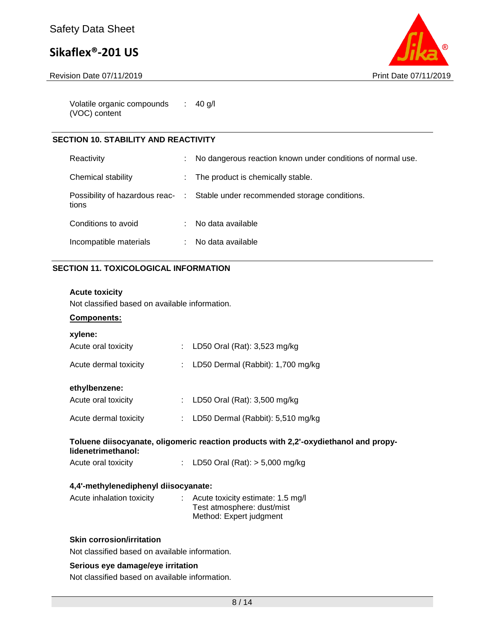Revision Date 07/11/2019 **Print Date 07/11/2019** 



Volatile organic compounds (VOC) content : 40 g/l

#### **SECTION 10. STABILITY AND REACTIVITY**

| Reactivity             | No dangerous reaction known under conditions of normal use.                   |
|------------------------|-------------------------------------------------------------------------------|
| Chemical stability     | The product is chemically stable.                                             |
| tions                  | Possibility of hazardous reac- : Stable under recommended storage conditions. |
| Conditions to avoid    | No data available                                                             |
| Incompatible materials | No data available                                                             |

#### **SECTION 11. TOXICOLOGICAL INFORMATION**

#### **Acute toxicity**

Not classified based on available information.

#### **Components:**

| xylene:                                                                                                    |  |                                                                                              |  |
|------------------------------------------------------------------------------------------------------------|--|----------------------------------------------------------------------------------------------|--|
| Acute oral toxicity                                                                                        |  | : LD50 Oral (Rat): $3,523$ mg/kg                                                             |  |
| Acute dermal toxicity                                                                                      |  | : LD50 Dermal (Rabbit): $1,700$ mg/kg                                                        |  |
| ethylbenzene:                                                                                              |  |                                                                                              |  |
| Acute oral toxicity                                                                                        |  | : LD50 Oral (Rat): $3,500$ mg/kg                                                             |  |
| Acute dermal toxicity                                                                                      |  | : LD50 Dermal (Rabbit): $5,510$ mg/kg                                                        |  |
| Toluene diisocyanate, oligomeric reaction products with 2,2'-oxydiethanol and propy-<br>lidenetrimethanol: |  |                                                                                              |  |
| Acute oral toxicity                                                                                        |  | : LD50 Oral (Rat): $>$ 5,000 mg/kg                                                           |  |
| 4,4'-methylenediphenyl diisocyanate:                                                                       |  |                                                                                              |  |
| Acute inhalation toxicity                                                                                  |  | : Acute toxicity estimate: 1.5 mg/l<br>Test atmosphere: dust/mist<br>Method: Expert judgment |  |
| <b>Skin corrosion/irritation</b>                                                                           |  |                                                                                              |  |

Not classified based on available information.

#### **Serious eye damage/eye irritation**

Not classified based on available information.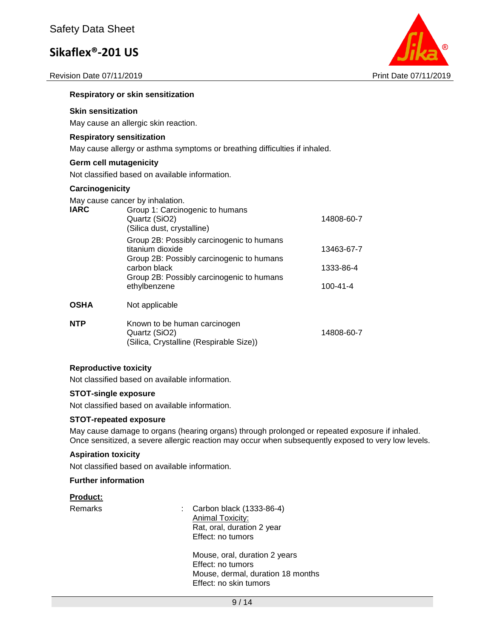Revision Date 07/11/2019 **Print Date 07/11/2019** 



#### **Respiratory or skin sensitization**

#### **Skin sensitization**

May cause an allergic skin reaction.

#### **Respiratory sensitization**

May cause allergy or asthma symptoms or breathing difficulties if inhaled.

#### **Germ cell mutagenicity**

Not classified based on available information.

#### **Carcinogenicity**

May cause cancer by inhalation.

| <b>IARC</b> | Group 1: Carcinogenic to humans<br>Quartz (SiO2)<br>(Silica dust, crystalline)                             | 14808-60-7     |
|-------------|------------------------------------------------------------------------------------------------------------|----------------|
|             | Group 2B: Possibly carcinogenic to humans<br>titanium dioxide<br>Group 2B: Possibly carcinogenic to humans | 13463-67-7     |
|             | carbon black                                                                                               | 1333-86-4      |
|             | Group 2B: Possibly carcinogenic to humans<br>ethylbenzene                                                  | $100 - 41 - 4$ |
| <b>OSHA</b> | Not applicable                                                                                             |                |
| <b>NTP</b>  | Known to be human carcinogen<br>Quartz (SiO2)<br>(Silica, Crystalline (Respirable Size))                   | 14808-60-7     |

#### **Reproductive toxicity**

Not classified based on available information.

#### **STOT-single exposure**

Not classified based on available information.

#### **STOT-repeated exposure**

May cause damage to organs (hearing organs) through prolonged or repeated exposure if inhaled. Once sensitized, a severe allergic reaction may occur when subsequently exposed to very low levels.

#### **Aspiration toxicity**

Not classified based on available information.

#### **Further information**

#### **Product:**

Remarks : Carbon black (1333-86-4) Animal Toxicity: Rat, oral, duration 2 year Effect: no tumors

> Mouse, oral, duration 2 years Effect: no tumors Mouse, dermal, duration 18 months Effect: no skin tumors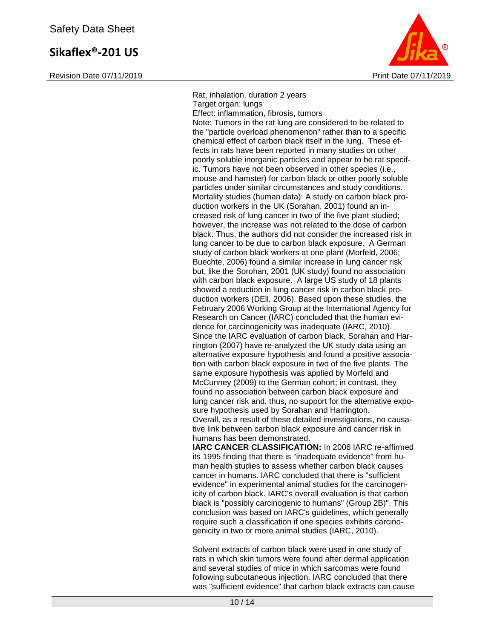Revision Date 07/11/2019 **Print Date 07/11/2019** Print Date 07/11/2019



Rat, inhalation, duration 2 years Target organ: lungs Effect: inflammation, fibrosis, tumors Note: Tumors in the rat lung are considered to be related to the "particle overload phenomenon" rather than to a specific chemical effect of carbon black itself in the lung. These effects in rats have been reported in many studies on other poorly soluble inorganic particles and appear to be rat specific. Tumors have not been observed in other species (i.e., mouse and hamster) for carbon black or other poorly soluble particles under similar circumstances and study conditions. Mortality studies (human data): A study on carbon black production workers in the UK (Sorahan, 2001) found an increased risk of lung cancer in two of the five plant studied; however, the increase was not related to the dose of carbon black. Thus, the authors did not consider the increased risk in lung cancer to be due to carbon black exposure. A German study of carbon black workers at one plant (Morfeld, 2006; Buechte, 2006) found a similar increase in lung cancer risk but, like the Sorohan, 2001 (UK study) found no association with carbon black exposure. A large US study of 18 plants showed a reduction in lung cancer risk in carbon black production workers (DEll, 2006). Based upon these studies, the February 2006 Working Group at the International Agency for Research on Cancer (IARC) concluded that the human evidence for carcinogenicity was inadequate (IARC, 2010). Since the IARC evaluation of carbon black, Sorahan and Harrington (2007) have re-analyzed the UK study data using an alternative exposure hypothesis and found a positive association with carbon black exposure in two of the five plants. The same exposure hypothesis was applied by Morfeld and McCunney (2009) to the German cohort; in contrast, they found no association between carbon black exposure and lung cancer risk and, thus, no support for the alternative exposure hypothesis used by Sorahan and Harrington. Overall, as a result of these detailed investigations, no causative link between carbon black exposure and cancer risk in humans has been demonstrated. **IARC CANCER CLASSIFICATION:** In 2006 IARC re-affirmed

its 1995 finding that there is "inadequate evidence" from human health studies to assess whether carbon black causes cancer in humans. IARC concluded that there is "sufficient evidence" in experimental animal studies for the carcinogenicity of carbon black. IARC's overall evaluation is that carbon black is "possibly carcinogenic to humans" (Group 2B)". This conclusion was based on IARC's guidelines, which generally require such a classification if one species exhibits carcinogenicity in two or more animal studies (IARC, 2010).

Solvent extracts of carbon black were used in one study of rats in which skin tumors were found after dermal application and several studies of mice in which sarcomas were found following subcutaneous injection. IARC concluded that there was "sufficient evidence" that carbon black extracts can cause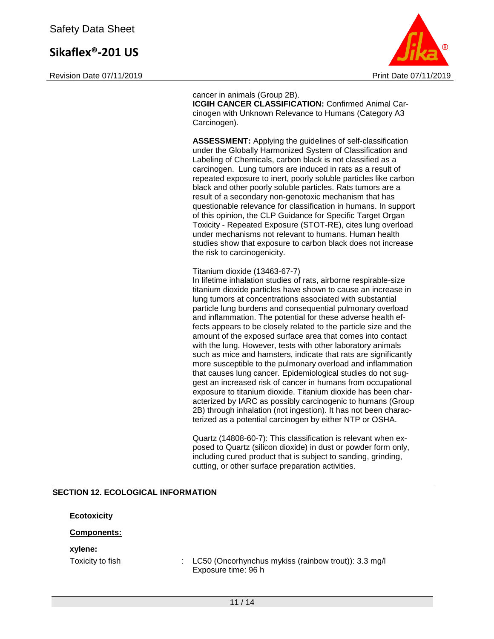Revision Date 07/11/2019 **Print Date 07/11/2019** Print Date 07/11/2019



cancer in animals (Group 2B). **ICGIH CANCER CLASSIFICATION:** Confirmed Animal Carcinogen with Unknown Relevance to Humans (Category A3 Carcinogen).

**ASSESSMENT:** Applying the guidelines of self-classification under the Globally Harmonized System of Classification and Labeling of Chemicals, carbon black is not classified as a carcinogen. Lung tumors are induced in rats as a result of repeated exposure to inert, poorly soluble particles like carbon black and other poorly soluble particles. Rats tumors are a result of a secondary non-genotoxic mechanism that has questionable relevance for classification in humans. In support of this opinion, the CLP Guidance for Specific Target Organ Toxicity - Repeated Exposure (STOT-RE), cites lung overload under mechanisms not relevant to humans. Human health studies show that exposure to carbon black does not increase the risk to carcinogenicity.

Titanium dioxide (13463-67-7)

In lifetime inhalation studies of rats, airborne respirable-size titanium dioxide particles have shown to cause an increase in lung tumors at concentrations associated with substantial particle lung burdens and consequential pulmonary overload and inflammation. The potential for these adverse health effects appears to be closely related to the particle size and the amount of the exposed surface area that comes into contact with the lung. However, tests with other laboratory animals such as mice and hamsters, indicate that rats are significantly more susceptible to the pulmonary overload and inflammation that causes lung cancer. Epidemiological studies do not suggest an increased risk of cancer in humans from occupational exposure to titanium dioxide. Titanium dioxide has been characterized by IARC as possibly carcinogenic to humans (Group 2B) through inhalation (not ingestion). It has not been characterized as a potential carcinogen by either NTP or OSHA.

Quartz (14808-60-7): This classification is relevant when exposed to Quartz (silicon dioxide) in dust or powder form only, including cured product that is subject to sanding, grinding, cutting, or other surface preparation activities.

#### **SECTION 12. ECOLOGICAL INFORMATION**

**Ecotoxicity**

#### **Components:**

#### **xylene:**

Toxicity to fish : LC50 (Oncorhynchus mykiss (rainbow trout)): 3.3 mg/l Exposure time: 96 h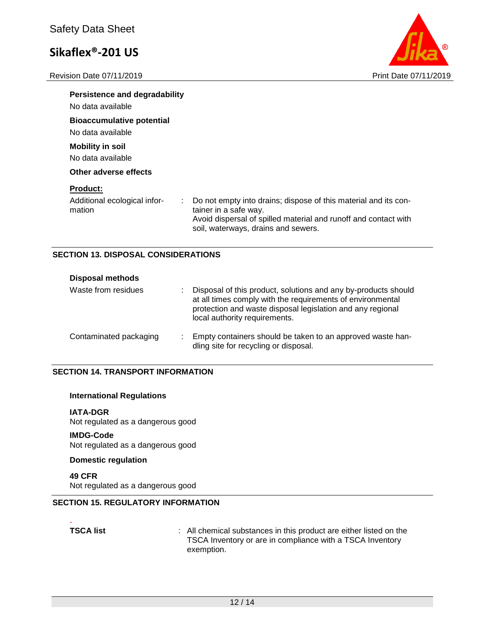Revision Date 07/11/2019 **Print Date 07/11/2019** 



| Persistence and degradability<br>No data available        |                                                                                                                                                                                                    |
|-----------------------------------------------------------|----------------------------------------------------------------------------------------------------------------------------------------------------------------------------------------------------|
| <b>Bioaccumulative potential</b><br>No data available     |                                                                                                                                                                                                    |
| <b>Mobility in soil</b><br>No data available              |                                                                                                                                                                                                    |
| Other adverse effects                                     |                                                                                                                                                                                                    |
| <b>Product:</b><br>Additional ecological infor-<br>mation | Do not empty into drains; dispose of this material and its con-<br>tainer in a safe way.<br>Avoid dispersal of spilled material and runoff and contact with<br>soil, waterways, drains and sewers. |

#### **SECTION 13. DISPOSAL CONSIDERATIONS**

| <b>Disposal methods</b> |    |                                                                                                                                                                                                                             |
|-------------------------|----|-----------------------------------------------------------------------------------------------------------------------------------------------------------------------------------------------------------------------------|
| Waste from residues     | ٠. | Disposal of this product, solutions and any by-products should<br>at all times comply with the requirements of environmental<br>protection and waste disposal legislation and any regional<br>local authority requirements. |
| Contaminated packaging  | ٠  | Empty containers should be taken to an approved waste han-<br>dling site for recycling or disposal.                                                                                                                         |

#### **SECTION 14. TRANSPORT INFORMATION**

#### **International Regulations**

#### **IATA-DGR**

Not regulated as a dangerous good

#### **IMDG-Code**

Not regulated as a dangerous good

#### **Domestic regulation**

**49 CFR** Not regulated as a dangerous good

### **SECTION 15. REGULATORY INFORMATION**

# -

**TSCA list ISCA list ISCA list ISCA list ISCA listed on the** TSCA Inventory or are in compliance with a TSCA Inventory exemption.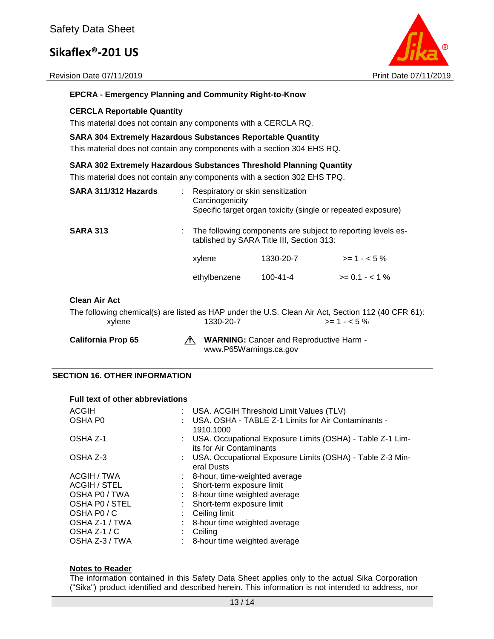Revision Date 07/11/2019 **Print Date 07/11/2019** Print Date 07/11/2019



#### **EPCRA - Emergency Planning and Community Right-to-Know**

#### **CERCLA Reportable Quantity**

This material does not contain any components with a CERCLA RQ.

#### **SARA 304 Extremely Hazardous Substances Reportable Quantity**

This material does not contain any components with a section 304 EHS RQ.

#### **SARA 302 Extremely Hazardous Substances Threshold Planning Quantity**

This material does not contain any components with a section 302 EHS TPQ.

| SARA 311/312 Hazards | Respiratory or skin sensitization<br>Carcinogenicity | Specific target organ toxicity (single or repeated exposure)                                              |                |
|----------------------|------------------------------------------------------|-----------------------------------------------------------------------------------------------------------|----------------|
| <b>SARA 313</b>      |                                                      | The following components are subject to reporting levels es-<br>tablished by SARA Title III, Section 313: |                |
|                      | xylene                                               | 1330-20-7                                                                                                 | $>= 1 - 5\%$   |
|                      | ethylbenzene                                         | $100 - 41 - 4$                                                                                            | $>= 0.1 - 1\%$ |
|                      |                                                      |                                                                                                           |                |

#### **Clean Air Act**

The following chemical(s) are listed as HAP under the U.S. Clean Air Act, Section 112 (40 CFR 61):  $x$ ylene 1330-20-7  $\rightarrow$  1330-20-7

California Prop 65 **WARNING:** Cancer and Reproductive Harm www.P65Warnings.ca.gov

#### **SECTION 16. OTHER INFORMATION**

#### **Full text of other abbreviations**

| <b>ACGIH</b><br>OSHA P0 | t. | USA. ACGIH Threshold Limit Values (TLV)<br>USA. OSHA - TABLE Z-1 Limits for Air Contaminants -<br>1910.1000 |
|-------------------------|----|-------------------------------------------------------------------------------------------------------------|
| OSHA Z-1                |    | : USA. Occupational Exposure Limits (OSHA) - Table Z-1 Lim-<br>its for Air Contaminants                     |
| OSHA Z-3                |    | : USA. Occupational Exposure Limits (OSHA) - Table Z-3 Min-<br>eral Dusts                                   |
| ACGIH / TWA             |    | 8-hour, time-weighted average                                                                               |
| <b>ACGIH / STEL</b>     |    | Short-term exposure limit                                                                                   |
| OSHA PO / TWA           |    | 8-hour time weighted average                                                                                |
| OSHA PO / STEL          |    | Short-term exposure limit                                                                                   |
| OSHA PO/C               | ÷  | Ceiling limit                                                                                               |
| OSHA Z-1 / TWA          |    | 8-hour time weighted average                                                                                |
| OSHA $Z-1/C$            |    | Ceiling                                                                                                     |
| OSHA Z-3 / TWA          |    | 8-hour time weighted average                                                                                |

#### **Notes to Reader**

The information contained in this Safety Data Sheet applies only to the actual Sika Corporation ("Sika") product identified and described herein. This information is not intended to address, nor